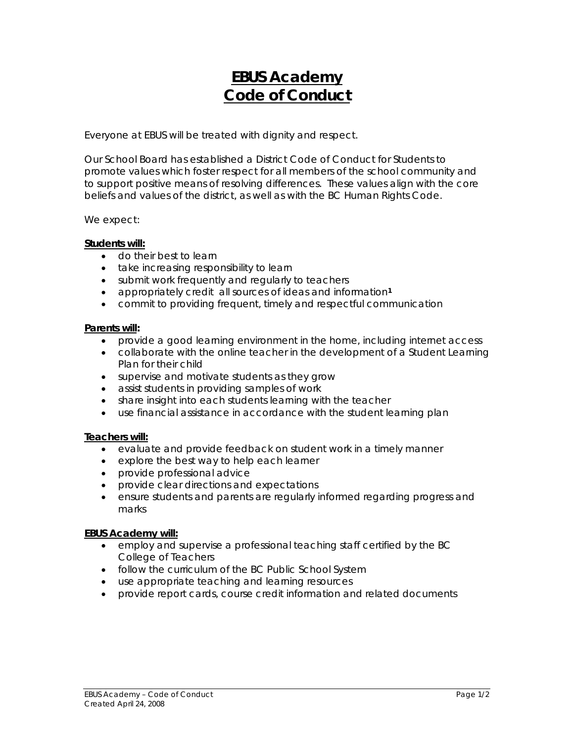# **EBUS Academy Code of Conduct**

Everyone at EBUS will be treated with dignity and respect.

Our School Board has established a District Code of Conduct for Students to promote values which foster respect for all members of the school community and to support positive means of resolving differences. These values align with the core beliefs and values of the district, as well as with the BC Human Rights Code.

We expect:

## **Students will:**

- do their best to learn
- take increasing responsibility to learn
- submit work frequently and regularly to teachers
- appropriately credit all sources of ideas and information**<sup>1</sup>**
- commit to providing frequent, timely and respectful communication

#### **Parents will:**

- provide a good learning environment in the home, including internet access
- collaborate with the online teacher in the development of a Student Learning Plan for their child
- supervise and motivate students as they grow
- assist students in providing samples of work
- share insight into each students learning with the teacher
- use financial assistance in accordance with the student learning plan

#### **Teachers will:**

- evaluate and provide feedback on student work in a timely manner
- explore the best way to help each learner
- provide professional advice
- provide clear directions and expectations
- ensure students and parents are regularly informed regarding progress and marks

#### **EBUS Academy will:**

- employ and supervise a professional teaching staff certified by the BC College of Teachers
- follow the curriculum of the BC Public School System
- use appropriate teaching and learning resources
- provide report cards, course credit information and related documents